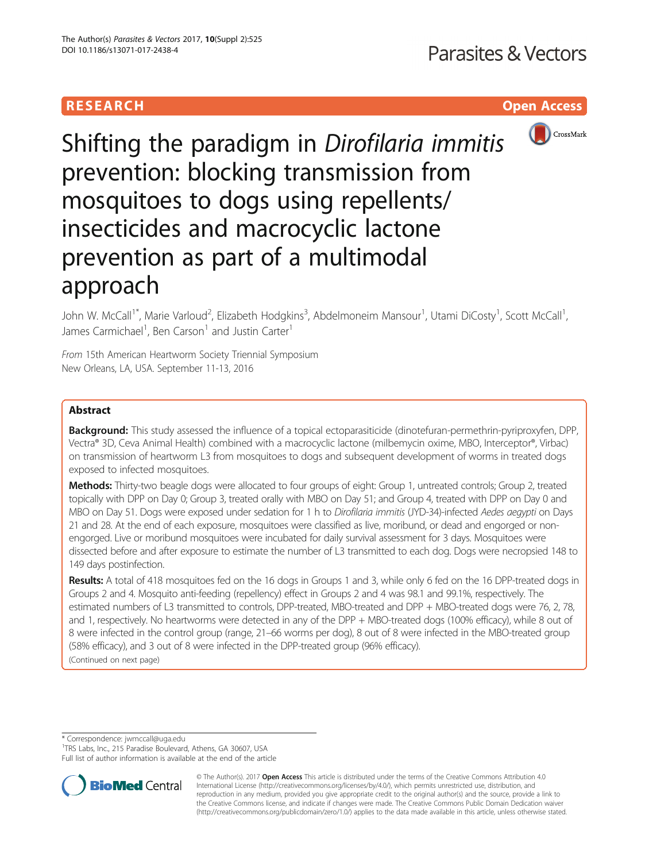# **RESEARCH CHILD CONTROL** CONTROL CONTROL CONTROL CONTROL CONTROL CONTROL CONTROL CONTROL CONTROL CONTROL CONTROL CONTROL CONTROL CONTROL CONTROL CONTROL CONTROL CONTROL CONTROL CONTROL CONTROL CONTROL CONTROL CONTROL CONTR



Shifting the paradigm in Dirofilaria immitis prevention: blocking transmission from mosquitoes to dogs using repellents/ insecticides and macrocyclic lactone prevention as part of a multimodal approach

John W. McCall<sup>1\*</sup>, Marie Varloud<sup>2</sup>, Elizabeth Hodgkins<sup>3</sup>, Abdelmoneim Mansour<sup>1</sup>, Utami DiCosty<sup>1</sup>, Scott McCall<sup>1</sup> , James Carmichael<sup>1</sup>, Ben Carson<sup>1</sup> and Justin Carter<sup>1</sup>

From 15th American Heartworm Society Triennial Symposium New Orleans, LA, USA. September 11-13, 2016

# Abstract

**Background:** This study assessed the influence of a topical ectoparasiticide (dinotefuran-permethrin-pyriproxyfen, DPP, Vectra® 3D, Ceva Animal Health) combined with a macrocyclic lactone (milbemycin oxime, MBO, Interceptor®, Virbac) on transmission of heartworm L3 from mosquitoes to dogs and subsequent development of worms in treated dogs exposed to infected mosquitoes.

Methods: Thirty-two beagle dogs were allocated to four groups of eight: Group 1, untreated controls; Group 2, treated topically with DPP on Day 0; Group 3, treated orally with MBO on Day 51; and Group 4, treated with DPP on Day 0 and MBO on Day 51. Dogs were exposed under sedation for 1 h to Dirofilaria immitis (JYD-34)-infected Aedes aegypti on Days 21 and 28. At the end of each exposure, mosquitoes were classified as live, moribund, or dead and engorged or nonengorged. Live or moribund mosquitoes were incubated for daily survival assessment for 3 days. Mosquitoes were dissected before and after exposure to estimate the number of L3 transmitted to each dog. Dogs were necropsied 148 to 149 days postinfection.

Results: A total of 418 mosquitoes fed on the 16 dogs in Groups 1 and 3, while only 6 fed on the 16 DPP-treated dogs in Groups 2 and 4. Mosquito anti-feeding (repellency) effect in Groups 2 and 4 was 98.1 and 99.1%, respectively. The estimated numbers of L3 transmitted to controls, DPP-treated, MBO-treated and DPP + MBO-treated dogs were 76, 2, 78, and 1, respectively. No heartworms were detected in any of the DPP + MBO-treated dogs (100% efficacy), while 8 out of 8 were infected in the control group (range, 21–66 worms per dog), 8 out of 8 were infected in the MBO-treated group (58% efficacy), and 3 out of 8 were infected in the DPP-treated group (96% efficacy). (Continued on next page)

\* Correspondence: [jwmccall@uga.edu](mailto:jwmccall@uga.edu) <sup>1</sup>

<sup>1</sup>TRS Labs, Inc., 215 Paradise Boulevard, Athens, GA 30607, USA Full list of author information is available at the end of the article



© The Author(s). 2017 **Open Access** This article is distributed under the terms of the Creative Commons Attribution 4.0 International License [\(http://creativecommons.org/licenses/by/4.0/](http://creativecommons.org/licenses/by/4.0/)), which permits unrestricted use, distribution, and reproduction in any medium, provided you give appropriate credit to the original author(s) and the source, provide a link to the Creative Commons license, and indicate if changes were made. The Creative Commons Public Domain Dedication waiver [\(http://creativecommons.org/publicdomain/zero/1.0/](http://creativecommons.org/publicdomain/zero/1.0/)) applies to the data made available in this article, unless otherwise stated.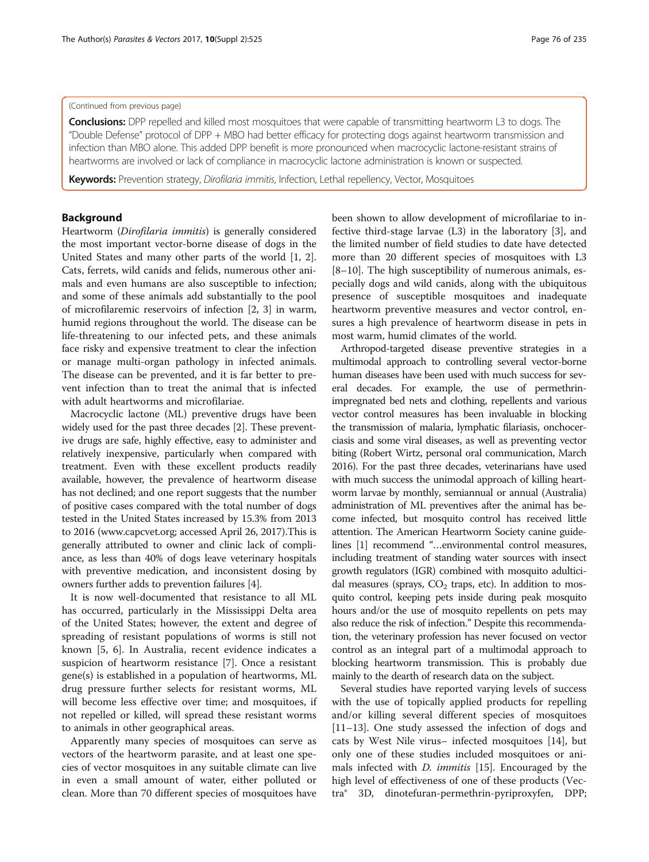### (Continued from previous page)

Conclusions: DPP repelled and killed most mosquitoes that were capable of transmitting heartworm L3 to dogs. The "Double Defense" protocol of DPP + MBO had better efficacy for protecting dogs against heartworm transmission and infection than MBO alone. This added DPP benefit is more pronounced when macrocyclic lactone-resistant strains of heartworms are involved or lack of compliance in macrocyclic lactone administration is known or suspected.

Keywords: Prevention strategy, Dirofilaria immitis, Infection, Lethal repellency, Vector, Mosquitoes

## Background

Heartworm (Dirofilaria immitis) is generally considered the most important vector-borne disease of dogs in the United States and many other parts of the world [\[1](#page-9-0), [2](#page-9-0)]. Cats, ferrets, wild canids and felids, numerous other animals and even humans are also susceptible to infection; and some of these animals add substantially to the pool of microfilaremic reservoirs of infection [[2](#page-9-0), [3](#page-9-0)] in warm, humid regions throughout the world. The disease can be life-threatening to our infected pets, and these animals face risky and expensive treatment to clear the infection or manage multi-organ pathology in infected animals. The disease can be prevented, and it is far better to prevent infection than to treat the animal that is infected with adult heartworms and microfilariae.

Macrocyclic lactone (ML) preventive drugs have been widely used for the past three decades [\[2\]](#page-9-0). These preventive drugs are safe, highly effective, easy to administer and relatively inexpensive, particularly when compared with treatment. Even with these excellent products readily available, however, the prevalence of heartworm disease has not declined; and one report suggests that the number of positive cases compared with the total number of dogs tested in the United States increased by 15.3% from 2013 to 2016 ([www.capcvet.org](http://www.capcvet.org); accessed April 26, 2017).This is generally attributed to owner and clinic lack of compliance, as less than 40% of dogs leave veterinary hospitals with preventive medication, and inconsistent dosing by owners further adds to prevention failures [\[4](#page-9-0)].

It is now well-documented that resistance to all ML has occurred, particularly in the Mississippi Delta area of the United States; however, the extent and degree of spreading of resistant populations of worms is still not known [\[5](#page-10-0), [6\]](#page-10-0). In Australia, recent evidence indicates a suspicion of heartworm resistance [\[7](#page-10-0)]. Once a resistant gene(s) is established in a population of heartworms, ML drug pressure further selects for resistant worms, ML will become less effective over time; and mosquitoes, if not repelled or killed, will spread these resistant worms to animals in other geographical areas.

Apparently many species of mosquitoes can serve as vectors of the heartworm parasite, and at least one species of vector mosquitoes in any suitable climate can live in even a small amount of water, either polluted or clean. More than 70 different species of mosquitoes have been shown to allow development of microfilariae to infective third-stage larvae (L3) in the laboratory [\[3](#page-9-0)], and the limited number of field studies to date have detected more than 20 different species of mosquitoes with L3 [[8](#page-10-0)–[10\]](#page-10-0). The high susceptibility of numerous animals, especially dogs and wild canids, along with the ubiquitous presence of susceptible mosquitoes and inadequate heartworm preventive measures and vector control, ensures a high prevalence of heartworm disease in pets in most warm, humid climates of the world.

Arthropod-targeted disease preventive strategies in a multimodal approach to controlling several vector-borne human diseases have been used with much success for several decades. For example, the use of permethrinimpregnated bed nets and clothing, repellents and various vector control measures has been invaluable in blocking the transmission of malaria, lymphatic filariasis, onchocerciasis and some viral diseases, as well as preventing vector biting (Robert Wirtz, personal oral communication, March 2016). For the past three decades, veterinarians have used with much success the unimodal approach of killing heartworm larvae by monthly, semiannual or annual (Australia) administration of ML preventives after the animal has become infected, but mosquito control has received little attention. The American Heartworm Society canine guidelines [\[1\]](#page-9-0) recommend "…environmental control measures, including treatment of standing water sources with insect growth regulators (IGR) combined with mosquito adulticidal measures (sprays,  $CO<sub>2</sub>$  traps, etc). In addition to mosquito control, keeping pets inside during peak mosquito hours and/or the use of mosquito repellents on pets may also reduce the risk of infection." Despite this recommendation, the veterinary profession has never focused on vector control as an integral part of a multimodal approach to blocking heartworm transmission. This is probably due mainly to the dearth of research data on the subject.

Several studies have reported varying levels of success with the use of topically applied products for repelling and/or killing several different species of mosquitoes [[11](#page-10-0)–[13](#page-10-0)]. One study assessed the infection of dogs and cats by West Nile virus– infected mosquitoes [[14\]](#page-10-0), but only one of these studies included mosquitoes or animals infected with D. immitis [[15](#page-10-0)]. Encouraged by the high level of effectiveness of one of these products (Vectra® 3D, dinotefuran-permethrin-pyriproxyfen, DPP;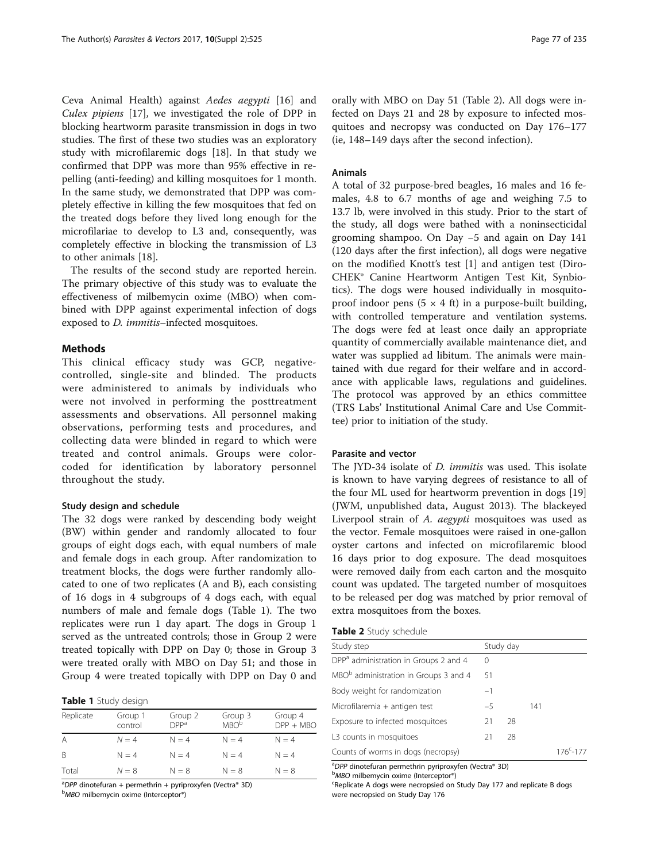Ceva Animal Health) against Aedes aegypti [[16](#page-10-0)] and Culex pipiens [\[17](#page-10-0)], we investigated the role of DPP in blocking heartworm parasite transmission in dogs in two studies. The first of these two studies was an exploratory study with microfilaremic dogs [[18](#page-10-0)]. In that study we confirmed that DPP was more than 95% effective in repelling (anti-feeding) and killing mosquitoes for 1 month. In the same study, we demonstrated that DPP was completely effective in killing the few mosquitoes that fed on the treated dogs before they lived long enough for the microfilariae to develop to L3 and, consequently, was completely effective in blocking the transmission of L3 to other animals [[18\]](#page-10-0).

The results of the second study are reported herein. The primary objective of this study was to evaluate the effectiveness of milbemycin oxime (MBO) when combined with DPP against experimental infection of dogs exposed to D. immitis–infected mosquitoes.

### **Methods**

This clinical efficacy study was GCP, negativecontrolled, single-site and blinded. The products were administered to animals by individuals who were not involved in performing the posttreatment assessments and observations. All personnel making observations, performing tests and procedures, and collecting data were blinded in regard to which were treated and control animals. Groups were colorcoded for identification by laboratory personnel throughout the study.

### Study design and schedule

The 32 dogs were ranked by descending body weight (BW) within gender and randomly allocated to four groups of eight dogs each, with equal numbers of male and female dogs in each group. After randomization to treatment blocks, the dogs were further randomly allocated to one of two replicates (A and B), each consisting of 16 dogs in 4 subgroups of 4 dogs each, with equal numbers of male and female dogs (Table 1). The two replicates were run 1 day apart. The dogs in Group 1 served as the untreated controls; those in Group 2 were treated topically with DPP on Day 0; those in Group 3 were treated orally with MBO on Day 51; and those in Group 4 were treated topically with DPP on Day 0 and

Table 1 Study design

| Replicate    | Group 1<br>control | Group 2<br>D <sub>PPa</sub> | Group 3<br>MBO <sup>b</sup> | Group 4<br>$DPP + MBO$ |
|--------------|--------------------|-----------------------------|-----------------------------|------------------------|
| A            | $N = 4$            | $N = 4$                     | $N = 4$                     | $N = 4$                |
| <sup>B</sup> | $N = 4$            | $N = 4$                     | $N = 4$                     | $N = 4$                |
| Total        | $N = 8$            | $N = 8$                     | $N = 8$                     | $N = 8$                |

<sup>a</sup>DPP dinotefuran + permethrin + pyriproxyfen (Vectra® 3D)<br><sup>b</sup>MBO milhemycin oxime (Intercentor®)

MBO milbemycin oxime (Interceptor®)

orally with MBO on Day 51 (Table 2). All dogs were infected on Days 21 and 28 by exposure to infected mosquitoes and necropsy was conducted on Day 176–177 (ie, 148–149 days after the second infection).

## Animals

A total of 32 purpose-bred beagles, 16 males and 16 females, 4.8 to 6.7 months of age and weighing 7.5 to 13.7 lb, were involved in this study. Prior to the start of the study, all dogs were bathed with a noninsecticidal grooming shampoo. On Day −5 and again on Day 141 (120 days after the first infection), all dogs were negative on the modified Knott's test [\[1\]](#page-9-0) and antigen test (Diro-CHEK® Canine Heartworm Antigen Test Kit, Synbiotics). The dogs were housed individually in mosquitoproof indoor pens  $(5 \times 4 \text{ ft})$  in a purpose-built building, with controlled temperature and ventilation systems. The dogs were fed at least once daily an appropriate quantity of commercially available maintenance diet, and water was supplied ad libitum. The animals were maintained with due regard for their welfare and in accordance with applicable laws, regulations and guidelines. The protocol was approved by an ethics committee (TRS Labs' Institutional Animal Care and Use Committee) prior to initiation of the study.

### Parasite and vector

The JYD-34 isolate of *D. immitis* was used. This isolate is known to have varying degrees of resistance to all of the four ML used for heartworm prevention in dogs [[19](#page-10-0)] (JWM, unpublished data, August 2013). The blackeyed Liverpool strain of A. aegypti mosquitoes was used as the vector. Female mosquitoes were raised in one-gallon oyster cartons and infected on microfilaremic blood 16 days prior to dog exposure. The dead mosquitoes were removed daily from each carton and the mosquito count was updated. The targeted number of mosquitoes to be released per dog was matched by prior removal of extra mosquitoes from the boxes.

| Table 2 Study schedule |
|------------------------|
|------------------------|

| Study step                                        |      | Study day |     |                     |
|---------------------------------------------------|------|-----------|-----|---------------------|
| DPP <sup>a</sup> administration in Groups 2 and 4 | 0    |           |     |                     |
| MBO <sup>b</sup> administration in Groups 3 and 4 | 51   |           |     |                     |
| Body weight for randomization                     | $-1$ |           |     |                     |
| Microfilaremia + antigen test                     | $-5$ |           | 141 |                     |
| Exposure to infected mosquitoes                   | 21   | 28        |     |                     |
| L3 counts in mosquitoes                           | 21   | 28        |     |                     |
| Counts of worms in dogs (necropsy)                |      |           |     | $176^{\circ} - 177$ |

<sup>a</sup>DPP dinotefuran permethrin pyriproxyfen (Vectra® 3D)

b<sub>MBO</sub> milbemycin oxime (Interceptor®)

<sup>c</sup>Replicate A dogs were necropsied on Study Day 177 and replicate B dogs were necropsied on Study Day 176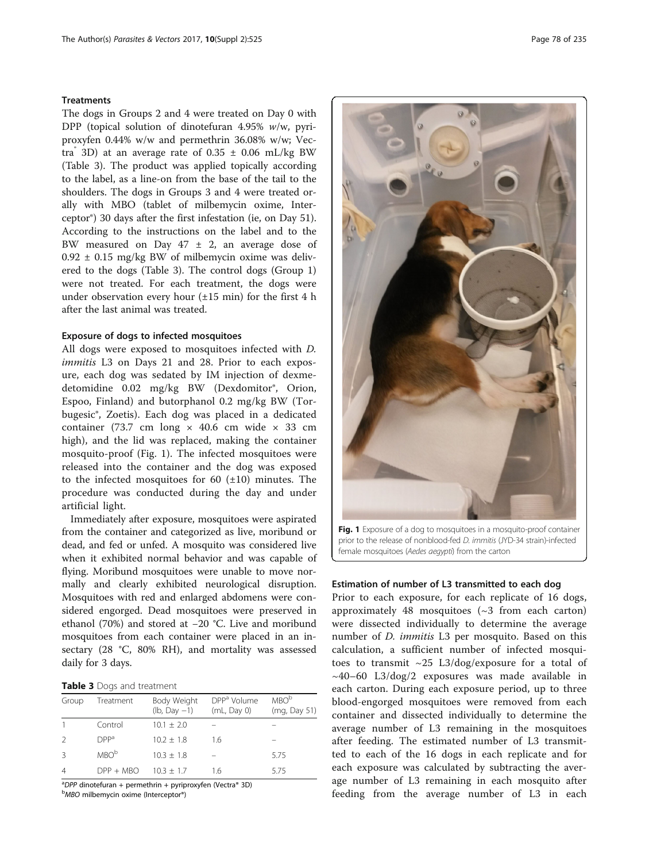## **Treatments**

The dogs in Groups 2 and 4 were treated on Day 0 with DPP (topical solution of dinotefuran 4.95% w/w, pyriproxyfen 0.44% w/w and permethrin 36.08% w/w; Vectra 3D) at an average rate of  $0.35 \pm 0.06$  mL/kg BW (Table 3). The product was applied topically according to the label, as a line-on from the base of the tail to the shoulders. The dogs in Groups 3 and 4 were treated orally with MBO (tablet of milbemycin oxime, Interceptor®) 30 days after the first infestation (ie, on Day 51). According to the instructions on the label and to the BW measured on Day  $47 \pm 2$ , an average dose of  $0.92 \pm 0.15$  mg/kg BW of milbemycin oxime was delivered to the dogs (Table 3). The control dogs (Group 1) were not treated. For each treatment, the dogs were under observation every hour (±15 min) for the first 4 h after the last animal was treated.

### Exposure of dogs to infected mosquitoes

All dogs were exposed to mosquitoes infected with D. immitis L3 on Days 21 and 28. Prior to each exposure, each dog was sedated by IM injection of dexmedetomidine 0.02 mg/kg BW (Dexdomitor<sup>®</sup>, Orion, Espoo, Finland) and butorphanol 0.2 mg/kg BW (Torbugesic®, Zoetis). Each dog was placed in a dedicated container (73.7 cm long  $\times$  40.6 cm wide  $\times$  33 cm high), and the lid was replaced, making the container mosquito-proof (Fig. 1). The infected mosquitoes were released into the container and the dog was exposed to the infected mosquitoes for  $60$  ( $\pm 10$ ) minutes. The procedure was conducted during the day and under artificial light.

Immediately after exposure, mosquitoes were aspirated from the container and categorized as live, moribund or dead, and fed or unfed. A mosquito was considered live when it exhibited normal behavior and was capable of flying. Moribund mosquitoes were unable to move normally and clearly exhibited neurological disruption. Mosquitoes with red and enlarged abdomens were considered engorged. Dead mosquitoes were preserved in ethanol (70%) and stored at −20 °C. Live and moribund mosquitoes from each container were placed in an insectary (28 °C, 80% RH), and mortality was assessed daily for 3 days.

| Table 3 Dogs and treatment |  |  |
|----------------------------|--|--|
|----------------------------|--|--|

| Group          | Treatment        | Body Weight<br>$(lb, Day -1)$ | DPP <sup>a</sup> Volume<br>(mL, Day 0) | MBO <sup>b</sup><br>(mg, Day 51) |
|----------------|------------------|-------------------------------|----------------------------------------|----------------------------------|
|                | Control          | $10.1 + 2.0$                  |                                        |                                  |
| $\mathcal{L}$  | DPP <sup>a</sup> | $10.2 + 1.8$                  | 1.6                                    |                                  |
| $\mathcal{R}$  | MBO <sup>b</sup> | $10.3 + 1.8$                  |                                        | 5.75                             |
| $\overline{4}$ | $DPP + MBO$      | $10.3 + 1.7$                  | 1.6                                    | 5.75                             |

<sup>a</sup>DPP dinotefuran + permethrin + pyriproxyfen (Vectra® 3D)<br><sup>b</sup>MBO milhemycin oxime (Intercentor®)

MBO milbemycin oxime (Interceptor®)



Fig. 1 Exposure of a dog to mosquitoes in a mosquito-proof container prior to the release of nonblood-fed D. immitis (JYD-34 strain)-infected female mosquitoes (Aedes aegypti) from the carton

## Estimation of number of L3 transmitted to each dog

Prior to each exposure, for each replicate of 16 dogs, approximately 48 mosquitoes (~3 from each carton) were dissected individually to determine the average number of *D. immitis* L3 per mosquito. Based on this calculation, a sufficient number of infected mosquitoes to transmit  $\sim$ 25 L3/dog/exposure for a total of  $\sim$ 40–60 L3/dog/2 exposures was made available in each carton. During each exposure period, up to three blood-engorged mosquitoes were removed from each container and dissected individually to determine the average number of L3 remaining in the mosquitoes after feeding. The estimated number of L3 transmitted to each of the 16 dogs in each replicate and for each exposure was calculated by subtracting the average number of L3 remaining in each mosquito after feeding from the average number of L3 in each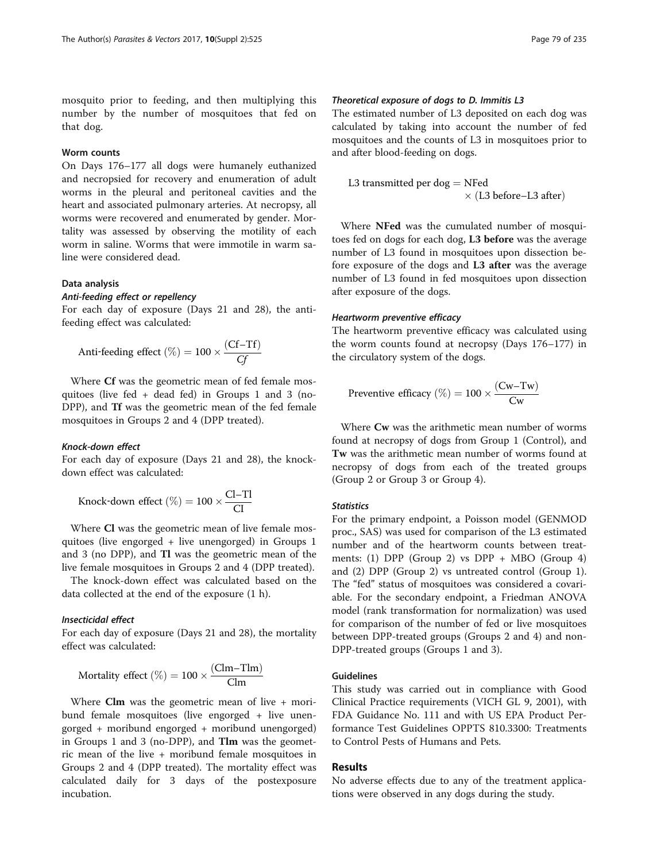mosquito prior to feeding, and then multiplying this number by the number of mosquitoes that fed on that dog.

## Worm counts

On Days 176–177 all dogs were humanely euthanized and necropsied for recovery and enumeration of adult worms in the pleural and peritoneal cavities and the heart and associated pulmonary arteries. At necropsy, all worms were recovered and enumerated by gender. Mortality was assessed by observing the motility of each worm in saline. Worms that were immotile in warm saline were considered dead.

## Data analysis

## Anti-feeding effect or repellency

For each day of exposure (Days 21 and 28), the antifeeding effect was calculated:

Anti-feeding effect (
$$
\% = 100 \times \frac{(Cf - Tf)}{Cf}
$$

Where Cf was the geometric mean of fed female mosquitoes (live fed + dead fed) in Groups 1 and 3 (no-DPP), and Tf was the geometric mean of the fed female mosquitoes in Groups 2 and 4 (DPP treated).

## Knock-down effect

For each day of exposure (Days 21 and 28), the knockdown effect was calculated:

Knock-down effect (
$$
\% = 100 \times \frac{Cl - Tl}{Cl}
$$

Where Cl was the geometric mean of live female mosquitoes (live engorged + live unengorged) in Groups 1 and 3 (no DPP), and Tl was the geometric mean of the live female mosquitoes in Groups 2 and 4 (DPP treated).

The knock-down effect was calculated based on the data collected at the end of the exposure (1 h).

#### Insecticidal effect

For each day of exposure (Days 21 and 28), the mortality effect was calculated:

Mortality effect 
$$
(\%) = 100 \times \frac{(Clm - Tlm)}{Clm}
$$

Where  $Clm$  was the geometric mean of live  $+$  moribund female mosquitoes (live engorged + live unengorged + moribund engorged + moribund unengorged) in Groups 1 and 3 (no-DPP), and Tlm was the geometric mean of the live + moribund female mosquitoes in Groups 2 and 4 (DPP treated). The mortality effect was calculated daily for 3 days of the postexposure incubation.

## Theoretical exposure of dogs to D. Immitis L3

The estimated number of L3 deposited on each dog was calculated by taking into account the number of fed mosquitoes and the counts of L3 in mosquitoes prior to and after blood-feeding on dogs.

L3 transmitted per  $dog = NFed$  $\times$  (L3 before–L3 after)

Where NFed was the cumulated number of mosquitoes fed on dogs for each dog, L3 before was the average number of L3 found in mosquitoes upon dissection before exposure of the dogs and L3 after was the average number of L3 found in fed mosquitoes upon dissection after exposure of the dogs.

### Heartworm preventive efficacy

The heartworm preventive efficacy was calculated using the worm counts found at necropsy (Days 176–177) in the circulatory system of the dogs.

Preventive efficacy 
$$
(\%) = 100 \times \frac{(Cw-Tw)}{Cw}
$$

Where Cw was the arithmetic mean number of worms found at necropsy of dogs from Group 1 (Control), and Tw was the arithmetic mean number of worms found at necropsy of dogs from each of the treated groups (Group 2 or Group 3 or Group 4).

## **Statistics**

For the primary endpoint, a Poisson model (GENMOD proc., SAS) was used for comparison of the L3 estimated number and of the heartworm counts between treatments: (1) DPP (Group 2) vs DPP + MBO (Group 4) and (2) DPP (Group 2) vs untreated control (Group 1). The "fed" status of mosquitoes was considered a covariable. For the secondary endpoint, a Friedman ANOVA model (rank transformation for normalization) was used for comparison of the number of fed or live mosquitoes between DPP-treated groups (Groups 2 and 4) and non-DPP-treated groups (Groups 1 and 3).

### Guidelines

This study was carried out in compliance with Good Clinical Practice requirements (VICH GL 9, 2001), with FDA Guidance No. 111 and with US EPA Product Performance Test Guidelines OPPTS 810.3300: Treatments to Control Pests of Humans and Pets.

### Results

No adverse effects due to any of the treatment applications were observed in any dogs during the study.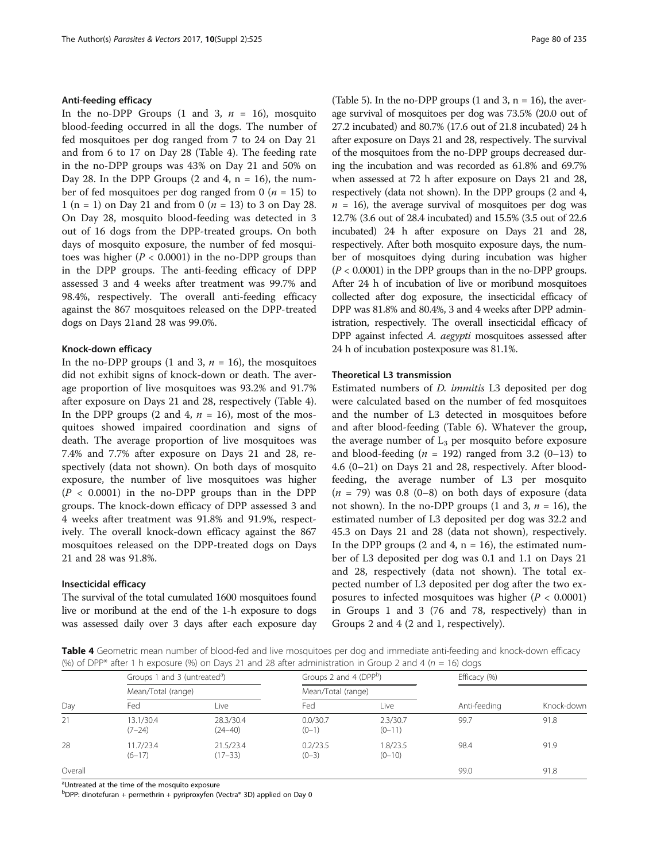## Anti-feeding efficacy

In the no-DPP Groups  $(1 \text{ and } 3, n = 16)$ , mosquito blood-feeding occurred in all the dogs. The number of fed mosquitoes per dog ranged from 7 to 24 on Day 21 and from 6 to 17 on Day 28 (Table 4). The feeding rate in the no-DPP groups was 43% on Day 21 and 50% on Day 28. In the DPP Groups  $(2 \text{ and } 4, n = 16)$ , the number of fed mosquitoes per dog ranged from 0 ( $n = 15$ ) to 1 (n = 1) on Day 21 and from 0 ( $n = 13$ ) to 3 on Day 28. On Day 28, mosquito blood-feeding was detected in 3 out of 16 dogs from the DPP-treated groups. On both days of mosquito exposure, the number of fed mosquitoes was higher ( $P < 0.0001$ ) in the no-DPP groups than in the DPP groups. The anti-feeding efficacy of DPP assessed 3 and 4 weeks after treatment was 99.7% and 98.4%, respectively. The overall anti-feeding efficacy against the 867 mosquitoes released on the DPP-treated dogs on Days 21and 28 was 99.0%.

### Knock-down efficacy

In the no-DPP groups (1 and 3,  $n = 16$ ), the mosquitoes did not exhibit signs of knock-down or death. The average proportion of live mosquitoes was 93.2% and 91.7% after exposure on Days 21 and 28, respectively (Table 4). In the DPP groups (2 and 4,  $n = 16$ ), most of the mosquitoes showed impaired coordination and signs of death. The average proportion of live mosquitoes was 7.4% and 7.7% after exposure on Days 21 and 28, respectively (data not shown). On both days of mosquito exposure, the number of live mosquitoes was higher  $(P < 0.0001)$  in the no-DPP groups than in the DPP groups. The knock-down efficacy of DPP assessed 3 and 4 weeks after treatment was 91.8% and 91.9%, respectively. The overall knock-down efficacy against the 867 mosquitoes released on the DPP-treated dogs on Days 21 and 28 was 91.8%.

### Insecticidal efficacy

The survival of the total cumulated 1600 mosquitoes found live or moribund at the end of the 1-h exposure to dogs was assessed daily over 3 days after each exposure day

(Table [5](#page-6-0)). In the no-DPP groups  $(1 \text{ and } 3, n = 16)$ , the average survival of mosquitoes per dog was 73.5% (20.0 out of 27.2 incubated) and 80.7% (17.6 out of 21.8 incubated) 24 h after exposure on Days 21 and 28, respectively. The survival of the mosquitoes from the no-DPP groups decreased during the incubation and was recorded as 61.8% and 69.7% when assessed at 72 h after exposure on Days 21 and 28, respectively (data not shown). In the DPP groups (2 and 4,  $n = 16$ ), the average survival of mosquitoes per dog was 12.7% (3.6 out of 28.4 incubated) and 15.5% (3.5 out of 22.6 incubated) 24 h after exposure on Days 21 and 28, respectively. After both mosquito exposure days, the number of mosquitoes dying during incubation was higher  $(P < 0.0001)$  in the DPP groups than in the no-DPP groups. After 24 h of incubation of live or moribund mosquitoes collected after dog exposure, the insecticidal efficacy of DPP was 81.8% and 80.4%, 3 and 4 weeks after DPP administration, respectively. The overall insecticidal efficacy of DPP against infected A. aegypti mosquitoes assessed after 24 h of incubation postexposure was 81.1%.

### Theoretical L3 transmission

Estimated numbers of D. immitis L3 deposited per dog were calculated based on the number of fed mosquitoes and the number of L3 detected in mosquitoes before and after blood-feeding (Table [6\)](#page-6-0). Whatever the group, the average number of  $L_3$  per mosquito before exposure and blood-feeding ( $n = 192$ ) ranged from 3.2 (0–13) to 4.6 (0–21) on Days 21 and 28, respectively. After bloodfeeding, the average number of L3 per mosquito  $(n = 79)$  was 0.8 (0–8) on both days of exposure (data not shown). In the no-DPP groups (1 and 3,  $n = 16$ ), the estimated number of L3 deposited per dog was 32.2 and 45.3 on Days 21 and 28 (data not shown), respectively. In the DPP groups  $(2 \text{ and } 4, n = 16)$ , the estimated number of L3 deposited per dog was 0.1 and 1.1 on Days 21 and 28, respectively (data not shown). The total expected number of L3 deposited per dog after the two exposures to infected mosquitoes was higher ( $P < 0.0001$ ) in Groups 1 and 3 (76 and 78, respectively) than in Groups 2 and 4 (2 and 1, respectively).

Table 4 Geometric mean number of blood-fed and live mosquitoes per dog and immediate anti-feeding and knock-down efficacy (%) of DPP<sup>\*</sup> after 1 h exposure (%) on Days 21 and 28 after administration in Group 2 and 4 ( $n = 16$ ) dogs

|         | Groups 1 and 3 (untreated <sup>a</sup> ) |                          | Groups 2 and 4 (DPP <sup>b</sup> ) |                        | Efficacy (%) |            |  |  |  |
|---------|------------------------------------------|--------------------------|------------------------------------|------------------------|--------------|------------|--|--|--|
| Day     | Mean/Total (range)                       |                          | Mean/Total (range)                 |                        |              |            |  |  |  |
|         | Fed                                      | Live                     | Fed                                | Live                   | Anti-feeding | Knock-down |  |  |  |
| 21      | 13.1/30.4<br>$(7-24)$                    | 28.3/30.4<br>$(24 - 40)$ | 0.0/30.7<br>$(0-1)$                | 2.3/30.7<br>$(0-11)$   | 99.7         | 91.8       |  |  |  |
| 28      | 11.7/23.4<br>$(6 - 17)$                  | 21.5/23.4<br>$(17 - 33)$ | 0.2/23.5<br>$(0-3)$                | 1.8/23.5<br>$(0 - 10)$ | 98.4         | 91.9       |  |  |  |
| Overall |                                          |                          |                                    |                        | 99.0         | 91.8       |  |  |  |

<sup>a</sup>Untreated at the time of the mosquito exposure

<sup>b</sup>DPP: dinotefuran + permethrin + pyriproxyfen (Vectra® 3D) applied on Day 0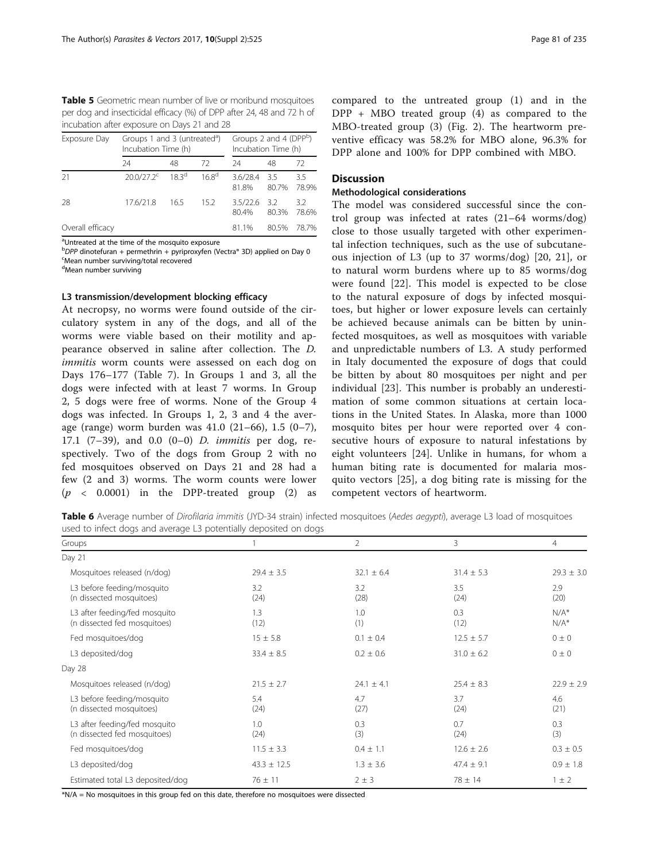<span id="page-6-0"></span>Table 5 Geometric mean number of live or moribund mosquitoes per dog and insecticidal efficacy (%) of DPP after 24, 48 and 72 h of incubation after exposure on Days 21 and 28

| Exposure Day     | Groups 1 and 3 (untreated <sup>a</sup> )<br>Incubation Time (h) |      | Groups 2 and 4 (DPP <sup>b</sup> )<br>Incubation Time (h) |                         |       |              |  |
|------------------|-----------------------------------------------------------------|------|-----------------------------------------------------------|-------------------------|-------|--------------|--|
|                  | 24                                                              | 48   | 72                                                        | 24                      | 48    | 72           |  |
| 21               | $20.0/27.2^c$ 18.3 <sup>d</sup>                                 |      | $168^d$                                                   | 3.6/28.4 3.5<br>81.8%   | 80.7% | 3.5<br>78.9% |  |
| -28              | 17.6/21.8                                                       | 16.5 | 15.2                                                      | $3.5/22.6$ 3.2<br>80.4% | 80.3% | 3.2<br>78.6% |  |
| Overall efficacy |                                                                 |      |                                                           | 81.1%                   | 80.5% | 78.7%        |  |

<sup>a</sup>Untreated at the time of the mosquito exposure

b<sub>DPP</sub> dinotefuran + permethrin + pyriproxyfen (Vectra® 3D) applied on Day 0 Mean number surviving/total recovered

<sup>d</sup>Mean number surviving

## L3 transmission/development blocking efficacy

At necropsy, no worms were found outside of the circulatory system in any of the dogs, and all of the worms were viable based on their motility and appearance observed in saline after collection. The D. immitis worm counts were assessed on each dog on Days 176–177 (Table [7](#page-7-0)). In Groups 1 and 3, all the dogs were infected with at least 7 worms. In Group 2, 5 dogs were free of worms. None of the Group 4 dogs was infected. In Groups 1, 2, 3 and 4 the average (range) worm burden was 41.0 (21–66), 1.5 (0–7), 17.1 (7-39), and 0.0 (0-0) *D. immitis* per dog, respectively. Two of the dogs from Group 2 with no fed mosquitoes observed on Days 21 and 28 had a few (2 and 3) worms. The worm counts were lower  $(p \lt 0.0001)$  in the DPP-treated group (2) as compared to the untreated group (1) and in the DPP + MBO treated group (4) as compared to the MBO-treated group (3) (Fig. [2](#page-7-0)). The heartworm preventive efficacy was 58.2% for MBO alone, 96.3% for DPP alone and 100% for DPP combined with MBO.

## **Discussion**

## Methodological considerations

The model was considered successful since the control group was infected at rates (21–64 worms/dog) close to those usually targeted with other experimental infection techniques, such as the use of subcutaneous injection of L3 (up to 37 worms/dog) [[20, 21](#page-10-0)], or to natural worm burdens where up to 85 worms/dog were found [[22\]](#page-10-0). This model is expected to be close to the natural exposure of dogs by infected mosquitoes, but higher or lower exposure levels can certainly be achieved because animals can be bitten by uninfected mosquitoes, as well as mosquitoes with variable and unpredictable numbers of L3. A study performed in Italy documented the exposure of dogs that could be bitten by about 80 mosquitoes per night and per individual [[23](#page-10-0)]. This number is probably an underestimation of some common situations at certain locations in the United States. In Alaska, more than 1000 mosquito bites per hour were reported over 4 consecutive hours of exposure to natural infestations by eight volunteers [\[24](#page-10-0)]. Unlike in humans, for whom a human biting rate is documented for malaria mosquito vectors [[25\]](#page-10-0), a dog biting rate is missing for the competent vectors of heartworm.

Table 6 Average number of Dirofilaria immitis (JYD-34 strain) infected mosquitoes (Aedes aegypti), average L3 load of mosquitoes used to infect dogs and average L3 potentially deposited on dogs

| Groups                                                        |                 | $\overline{2}$ | 3              | $\overline{4}$     |
|---------------------------------------------------------------|-----------------|----------------|----------------|--------------------|
| Day 21                                                        |                 |                |                |                    |
| Mosquitoes released (n/dog)                                   | $29.4 \pm 3.5$  | $32.1 \pm 6.4$ | $31.4 \pm 5.3$ | $29.3 \pm 3.0$     |
| L3 before feeding/mosquito<br>(n dissected mosquitoes)        | 3.2<br>(24)     | 3.2<br>(28)    | 3.5<br>(24)    | 2.9<br>(20)        |
| L3 after feeding/fed mosquito<br>(n dissected fed mosquitoes) | 1.3<br>(12)     | 1.0<br>(1)     | 0.3<br>(12)    | $N/A^*$<br>$N/A^*$ |
| Fed mosquitoes/dog                                            | $15 \pm 5.8$    | $0.1 \pm 0.4$  | $12.5 \pm 5.7$ | $0 \pm 0$          |
| L3 deposited/dog                                              | $33.4 \pm 8.5$  | $0.2 \pm 0.6$  | $31.0 \pm 6.2$ | $0 \pm 0$          |
| Day 28                                                        |                 |                |                |                    |
| Mosquitoes released (n/dog)                                   | $21.5 \pm 2.7$  | $24.1 \pm 4.1$ | $25.4 \pm 8.3$ | $22.9 \pm 2.9$     |
| L3 before feeding/mosquito<br>(n dissected mosquitoes)        | 5.4<br>(24)     | 4.7<br>(27)    | 3.7<br>(24)    | 4.6<br>(21)        |
| L3 after feeding/fed mosquito<br>(n dissected fed mosquitoes) | 1.0<br>(24)     | 0.3<br>(3)     | 0.7<br>(24)    | 0.3<br>(3)         |
| Fed mosquitoes/dog                                            | $11.5 \pm 3.3$  | $0.4 \pm 1.1$  | $12.6 \pm 2.6$ | $0.3 \pm 0.5$      |
| L3 deposited/dog                                              | $43.3 \pm 12.5$ | $1.3 \pm 3.6$  | $47.4 \pm 9.1$ | $0.9 \pm 1.8$      |
| Estimated total L3 deposited/dog                              | $76 \pm 11$     | $2 \pm 3$      | $78 \pm 14$    | $1 \pm 2$          |

\*N/A = No mosquitoes in this group fed on this date, therefore no mosquitoes were dissected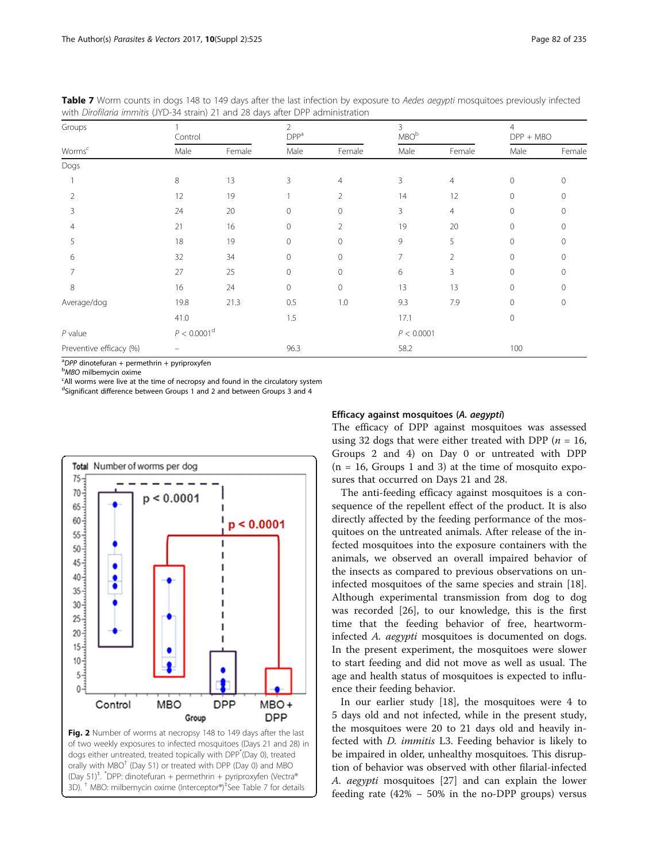| Page 82 of 235 |  |  |  |
|----------------|--|--|--|
|----------------|--|--|--|

<span id="page-7-0"></span>

|  |  |  |  |  |                                                                                  |  |  |  | Table 7 Worm counts in dogs 148 to 149 days after the last infection by exposure to Aedes aegypti mosquitoes previously infected |  |
|--|--|--|--|--|----------------------------------------------------------------------------------|--|--|--|----------------------------------------------------------------------------------------------------------------------------------|--|
|  |  |  |  |  | with Dirofilaria immitis (JYD-34 strain) 21 and 28 days after DPP administration |  |  |  |                                                                                                                                  |  |

| Groups                                                                                                                                                                                                                                                                                                                                                                                                                                                  | Control              |        | $\overline{2}$<br><b>DPP</b> <sup>a</sup> |                | 3<br>$MBO^b$ |                | 4<br>$DPP + MBO$ |          |  |
|---------------------------------------------------------------------------------------------------------------------------------------------------------------------------------------------------------------------------------------------------------------------------------------------------------------------------------------------------------------------------------------------------------------------------------------------------------|----------------------|--------|-------------------------------------------|----------------|--------------|----------------|------------------|----------|--|
| Worms <sup>c</sup>                                                                                                                                                                                                                                                                                                                                                                                                                                      | Male                 | Female | Male                                      | Female         | Male         | Female         | Male             | Female   |  |
| Dogs                                                                                                                                                                                                                                                                                                                                                                                                                                                    |                      |        |                                           |                |              |                |                  |          |  |
|                                                                                                                                                                                                                                                                                                                                                                                                                                                         | 8                    | 13     | 3                                         | 4              | 3            | $\overline{4}$ | $\mathbf 0$      | $\Omega$ |  |
| 2                                                                                                                                                                                                                                                                                                                                                                                                                                                       | 12                   | 19     |                                           | 2              | 14           | 12             | 0                | 0        |  |
| 3                                                                                                                                                                                                                                                                                                                                                                                                                                                       | 24                   | 20     | $\mathbf{0}$                              | $\mathbf{0}$   | 3            | 4              | 0                | $\Omega$ |  |
| 4                                                                                                                                                                                                                                                                                                                                                                                                                                                       | 21                   | 16     | $\mathbf 0$                               | $\overline{2}$ | 19           | 20             | $\mathbf 0$      | $\Omega$ |  |
| 5                                                                                                                                                                                                                                                                                                                                                                                                                                                       | 18                   | 19     | $\mathbf 0$                               | $\mathbf{0}$   | 9            | 5              | 0                | $\Omega$ |  |
| 6                                                                                                                                                                                                                                                                                                                                                                                                                                                       | 32                   | 34     | $\mathbf{0}$                              | $\Omega$       | 7            | 2              | 0                | $\Omega$ |  |
|                                                                                                                                                                                                                                                                                                                                                                                                                                                         | 27                   | 25     | $\mathbf 0$                               | $\mathbf{0}$   | 6            | 3              | 0                | $\Omega$ |  |
| 8                                                                                                                                                                                                                                                                                                                                                                                                                                                       | 16                   | 24     | $\mathbf 0$                               | $\mathbf 0$    | 13           | 13             | 0                | $\Omega$ |  |
| Average/dog                                                                                                                                                                                                                                                                                                                                                                                                                                             | 19.8                 | 21.3   | 0.5                                       | 1.0            | 9.3          | 7.9            | 0                | $\Omega$ |  |
|                                                                                                                                                                                                                                                                                                                                                                                                                                                         | 41.0                 |        | 1.5                                       |                | 17.1         |                | 0                |          |  |
| $P$ value                                                                                                                                                                                                                                                                                                                                                                                                                                               | $P < 0.0001^{\rm d}$ |        |                                           |                | P < 0.0001   |                |                  |          |  |
| Preventive efficacy (%)<br>$\mathbf{A} = \mathbf{A} + \mathbf{A} + \mathbf{A} + \mathbf{A} + \mathbf{A} + \mathbf{A} + \mathbf{A} + \mathbf{A} + \mathbf{A} + \mathbf{A} + \mathbf{A} + \mathbf{A} + \mathbf{A} + \mathbf{A} + \mathbf{A} + \mathbf{A} + \mathbf{A} + \mathbf{A} + \mathbf{A} + \mathbf{A} + \mathbf{A} + \mathbf{A} + \mathbf{A} + \mathbf{A} + \mathbf{A} + \mathbf{A} + \mathbf{A} + \mathbf{A} + \mathbf{A} + \mathbf{A} + \mathbf$ |                      |        | 96.3                                      |                | 58.2         |                | 100              |          |  |

<sup>a</sup>DPP dinotefuran + permethrin + pyriproxyfen<br><sup>b</sup>MPO milhomycin oximo

<sup>b</sup>MBO milbemycin oxime

<sup>c</sup>All worms were live at the time of necropsy and found in the circulatory system

<sup>d</sup>Significant difference between Groups 1 and 2 and between Groups 3 and 4



Fig. 2 Number of worms at necropsy 148 to 149 days after the last of two weekly exposures to infected mosquitoes (Days 21 and 28) in dogs either untreated, treated topically with DPP\* (Day 0), treated orally with MBO† (Day 51) or treated with DPP (Day 0) and MBO (Day 51)<sup>‡</sup>. <sup>\*</sup>DPP: dinotefuran + permethrin + pyriproxyfen (Vectra® 3D). † MBO: milbemycin oxime (Interceptor®)‡ See Table 7 for details

### Efficacy against mosquitoes (A. aegypti)

The efficacy of DPP against mosquitoes was assessed using 32 dogs that were either treated with DPP ( $n = 16$ , Groups 2 and 4) on Day 0 or untreated with DPP  $(n = 16,$  Groups 1 and 3) at the time of mosquito exposures that occurred on Days 21 and 28.

The anti-feeding efficacy against mosquitoes is a consequence of the repellent effect of the product. It is also directly affected by the feeding performance of the mosquitoes on the untreated animals. After release of the infected mosquitoes into the exposure containers with the animals, we observed an overall impaired behavior of the insects as compared to previous observations on uninfected mosquitoes of the same species and strain [\[18](#page-10-0)]. Although experimental transmission from dog to dog was recorded [\[26](#page-10-0)], to our knowledge, this is the first time that the feeding behavior of free, heartworminfected A. aegypti mosquitoes is documented on dogs. In the present experiment, the mosquitoes were slower to start feeding and did not move as well as usual. The age and health status of mosquitoes is expected to influence their feeding behavior.

In our earlier study [\[18](#page-10-0)], the mosquitoes were 4 to 5 days old and not infected, while in the present study, the mosquitoes were 20 to 21 days old and heavily infected with D. immitis L3. Feeding behavior is likely to be impaired in older, unhealthy mosquitoes. This disruption of behavior was observed with other filarial-infected A. aegypti mosquitoes [[27\]](#page-10-0) and can explain the lower feeding rate (42% − 50% in the no-DPP groups) versus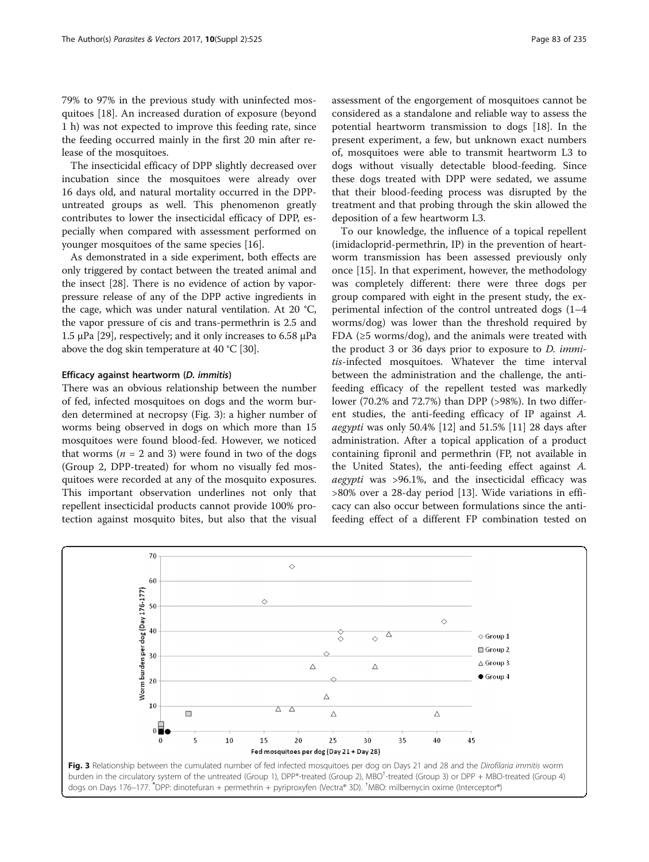79% to 97% in the previous study with uninfected mosquitoes [[18\]](#page-10-0). An increased duration of exposure (beyond 1 h) was not expected to improve this feeding rate, since the feeding occurred mainly in the first 20 min after release of the mosquitoes.

The insecticidal efficacy of DPP slightly decreased over incubation since the mosquitoes were already over 16 days old, and natural mortality occurred in the DPPuntreated groups as well. This phenomenon greatly contributes to lower the insecticidal efficacy of DPP, especially when compared with assessment performed on younger mosquitoes of the same species [\[16](#page-10-0)].

As demonstrated in a side experiment, both effects are only triggered by contact between the treated animal and the insect [\[28\]](#page-10-0). There is no evidence of action by vaporpressure release of any of the DPP active ingredients in the cage, which was under natural ventilation. At 20 °C, the vapor pressure of cis and trans-permethrin is 2.5 and 1.5 μPa [\[29\]](#page-10-0), respectively; and it only increases to 6.58 μPa above the dog skin temperature at 40 °C [[30\]](#page-10-0).

### Efficacy against heartworm (D. immitis)

There was an obvious relationship between the number of fed, infected mosquitoes on dogs and the worm burden determined at necropsy (Fig. 3): a higher number of worms being observed in dogs on which more than 15 mosquitoes were found blood-fed. However, we noticed that worms ( $n = 2$  and 3) were found in two of the dogs (Group 2, DPP-treated) for whom no visually fed mosquitoes were recorded at any of the mosquito exposures. This important observation underlines not only that repellent insecticidal products cannot provide 100% protection against mosquito bites, but also that the visual

assessment of the engorgement of mosquitoes cannot be considered as a standalone and reliable way to assess the potential heartworm transmission to dogs [\[18\]](#page-10-0). In the present experiment, a few, but unknown exact numbers of, mosquitoes were able to transmit heartworm L3 to dogs without visually detectable blood-feeding. Since these dogs treated with DPP were sedated, we assume that their blood-feeding process was disrupted by the treatment and that probing through the skin allowed the deposition of a few heartworm L3.

To our knowledge, the influence of a topical repellent (imidacloprid-permethrin, IP) in the prevention of heartworm transmission has been assessed previously only once [\[15](#page-10-0)]. In that experiment, however, the methodology was completely different: there were three dogs per group compared with eight in the present study, the experimental infection of the control untreated dogs (1–4 worms/dog) was lower than the threshold required by FDA ( $\geq$ 5 worms/dog), and the animals were treated with the product 3 or 36 days prior to exposure to D. immitis-infected mosquitoes. Whatever the time interval between the administration and the challenge, the antifeeding efficacy of the repellent tested was markedly lower (70.2% and 72.7%) than DPP (>98%). In two different studies, the anti-feeding efficacy of IP against A. *aegypti* was only 50.4% [[12\]](#page-10-0) and 51.5% [\[11\]](#page-10-0) 28 days after administration. After a topical application of a product containing fipronil and permethrin (FP, not available in the United States), the anti-feeding effect against A. aegypti was >96.1%, and the insecticidal efficacy was >80% over a 28-day period [\[13](#page-10-0)]. Wide variations in efficacy can also occur between formulations since the antifeeding effect of a different FP combination tested on

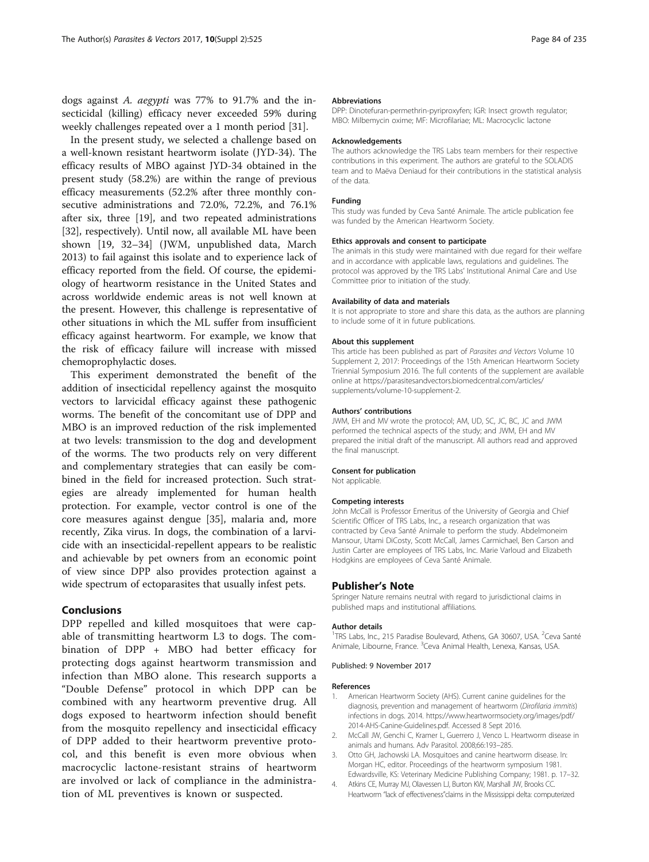<span id="page-9-0"></span>dogs against A. aegypti was 77% to 91.7% and the insecticidal (killing) efficacy never exceeded 59% during weekly challenges repeated over a 1 month period [\[31\]](#page-10-0).

In the present study, we selected a challenge based on a well-known resistant heartworm isolate (JYD-34). The efficacy results of MBO against JYD-34 obtained in the present study (58.2%) are within the range of previous efficacy measurements (52.2% after three monthly consecutive administrations and 72.0%, 72.2%, and 76.1% after six, three [\[19](#page-10-0)], and two repeated administrations [[32\]](#page-10-0), respectively). Until now, all available ML have been shown [[19, 32](#page-10-0)–[34\]](#page-10-0) (JWM, unpublished data, March 2013) to fail against this isolate and to experience lack of efficacy reported from the field. Of course, the epidemiology of heartworm resistance in the United States and across worldwide endemic areas is not well known at the present. However, this challenge is representative of other situations in which the ML suffer from insufficient efficacy against heartworm. For example, we know that the risk of efficacy failure will increase with missed chemoprophylactic doses.

This experiment demonstrated the benefit of the addition of insecticidal repellency against the mosquito vectors to larvicidal efficacy against these pathogenic worms. The benefit of the concomitant use of DPP and MBO is an improved reduction of the risk implemented at two levels: transmission to the dog and development of the worms. The two products rely on very different and complementary strategies that can easily be combined in the field for increased protection. Such strategies are already implemented for human health protection. For example, vector control is one of the core measures against dengue [\[35](#page-10-0)], malaria and, more recently, Zika virus. In dogs, the combination of a larvicide with an insecticidal-repellent appears to be realistic and achievable by pet owners from an economic point of view since DPP also provides protection against a wide spectrum of ectoparasites that usually infest pets.

## Conclusions

DPP repelled and killed mosquitoes that were capable of transmitting heartworm L3 to dogs. The combination of DPP + MBO had better efficacy for protecting dogs against heartworm transmission and infection than MBO alone. This research supports a "Double Defense" protocol in which DPP can be combined with any heartworm preventive drug. All dogs exposed to heartworm infection should benefit from the mosquito repellency and insecticidal efficacy of DPP added to their heartworm preventive protocol, and this benefit is even more obvious when macrocyclic lactone-resistant strains of heartworm are involved or lack of compliance in the administration of ML preventives is known or suspected.

#### Abbreviations

DPP: Dinotefuran-permethrin-pyriproxyfen; IGR: Insect growth regulator; MBO: Milbemycin oxime; MF: Microfilariae; ML: Macrocyclic lactone

#### Acknowledgements

The authors acknowledge the TRS Labs team members for their respective contributions in this experiment. The authors are grateful to the SOLADIS team and to Maëva Deniaud for their contributions in the statistical analysis of the data.

### Funding

This study was funded by Ceva Santé Animale. The article publication fee was funded by the American Heartworm Society.

#### Ethics approvals and consent to participate

The animals in this study were maintained with due regard for their welfare and in accordance with applicable laws, regulations and guidelines. The protocol was approved by the TRS Labs' Institutional Animal Care and Use Committee prior to initiation of the study.

### Availability of data and materials

It is not appropriate to store and share this data, as the authors are planning to include some of it in future publications.

#### About this supplement

This article has been published as part of Parasites and Vectors Volume 10 Supplement 2, 2017: Proceedings of the 15th American Heartworm Society Triennial Symposium 2016. The full contents of the supplement are available online at https://parasitesandvectors.biomedcentral.com/articles/ supplements/volume-10-supplement-2.

#### Authors' contributions

JWM, EH and MV wrote the protocol; AM, UD, SC, JC, BC, JC and JWM performed the technical aspects of the study; and JWM, EH and MV prepared the initial draft of the manuscript. All authors read and approved the final manuscript.

#### Consent for publication

Not applicable.

#### Competing interests

John McCall is Professor Emeritus of the University of Georgia and Chief Scientific Officer of TRS Labs, Inc., a research organization that was contracted by Ceva Santé Animale to perform the study. Abdelmoneim Mansour, Utami DiCosty, Scott McCall, James Carmichael, Ben Carson and Justin Carter are employees of TRS Labs, Inc. Marie Varloud and Elizabeth Hodgkins are employees of Ceva Santé Animale.

### Publisher's Note

Springer Nature remains neutral with regard to jurisdictional claims in published maps and institutional affiliations.

#### Author details

<sup>1</sup>TRS Labs, Inc., 215 Paradise Boulevard, Athens, GA 30607, USA. <sup>2</sup>Ceva Santé Animale, Libourne, France. <sup>3</sup>Ceva Animal Health, Lenexa, Kansas, USA

#### Published: 9 November 2017

#### References

- 1. American Heartworm Society (AHS). Current canine guidelines for the diagnosis, prevention and management of heartworm (Dirofilaria immitis) infections in dogs. 2014. [https://www.heartwormsociety.org/images/pdf/](https://www.heartwormsociety.org/images/pdf/2014-AHS-Canine-Guidelines.pdf) [2014-AHS-Canine-Guidelines.pdf](https://www.heartwormsociety.org/images/pdf/2014-AHS-Canine-Guidelines.pdf). Accessed 8 Sept 2016.
- 2. McCall JW, Genchi C, Kramer L, Guerrero J, Venco L. Heartworm disease in animals and humans. Adv Parasitol. 2008;66:193–285.
- 3. Otto GH, Jachowski LA. Mosquitoes and canine heartworm disease. In: Morgan HC, editor. Proceedings of the heartworm symposium 1981. Edwardsville, KS: Veterinary Medicine Publishing Company; 1981. p. 17–32.
- 4. Atkins CE, Murray MJ, Olavessen LJ, Burton KW, Marshall JW, Brooks CC. Heartworm "lack of effectiveness"claims in the Mississippi delta: computerized